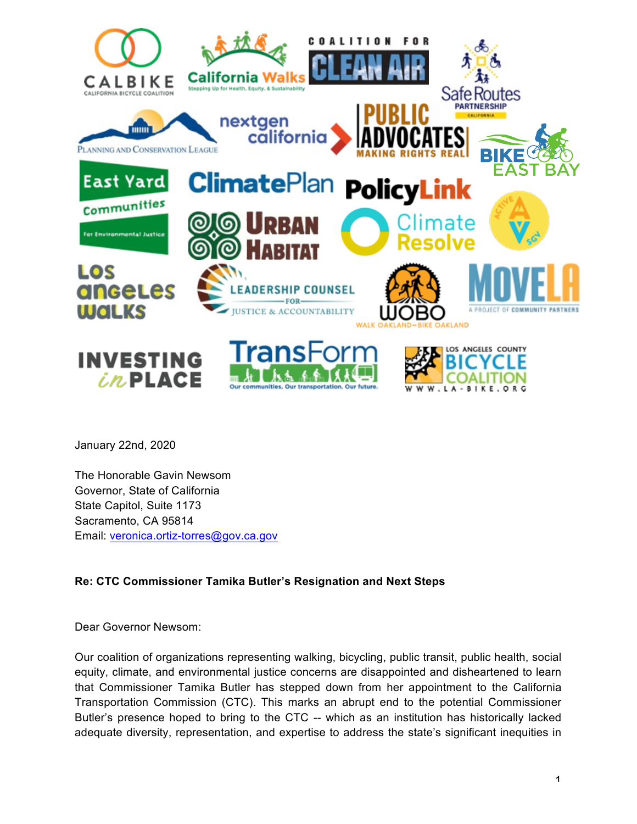

January 22nd, 2020

The Honorable Gavin Newsom Governor, State of California State Capitol, Suite 1173 Sacramento, CA 95814 Email: veronica.ortiz-torres@gov.ca.gov

## **Re: CTC Commissioner Tamika Butler's Resignation and Next Steps**

Dear Governor Newsom:

Our coalition of organizations representing walking, bicycling, public transit, public health, social equity, climate, and environmental justice concerns are disappointed and disheartened to learn that Commissioner Tamika Butler has stepped down from her appointment to the California Transportation Commission (CTC). This marks an abrupt end to the potential Commissioner Butler's presence hoped to bring to the CTC -- which as an institution has historically lacked adequate diversity, representation, and expertise to address the state's significant inequities in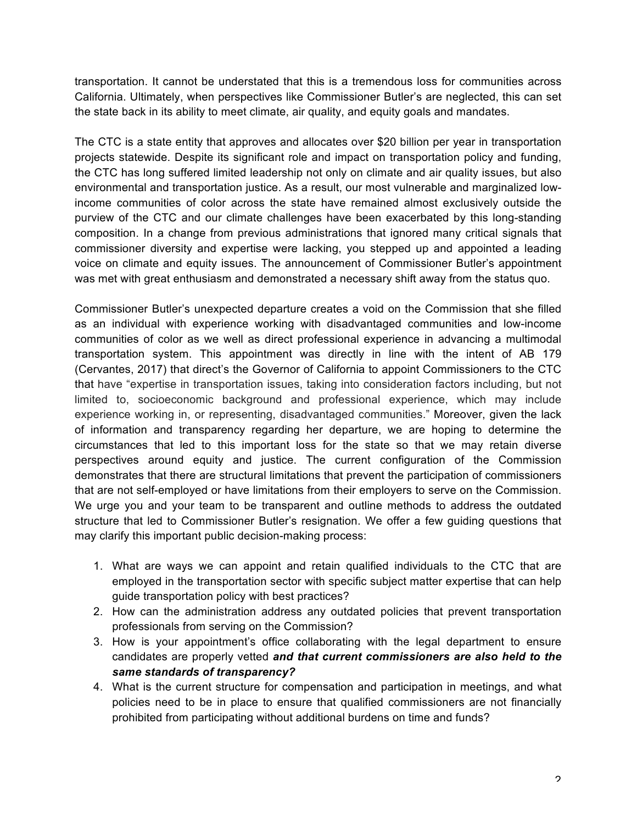transportation. It cannot be understated that this is a tremendous loss for communities across California. Ultimately, when perspectives like Commissioner Butler's are neglected, this can set the state back in its ability to meet climate, air quality, and equity goals and mandates.

The CTC is a state entity that approves and allocates over \$20 billion per year in transportation projects statewide. Despite its significant role and impact on transportation policy and funding, the CTC has long suffered limited leadership not only on climate and air quality issues, but also environmental and transportation justice. As a result, our most vulnerable and marginalized lowincome communities of color across the state have remained almost exclusively outside the purview of the CTC and our climate challenges have been exacerbated by this long-standing composition. In a change from previous administrations that ignored many critical signals that commissioner diversity and expertise were lacking, you stepped up and appointed a leading voice on climate and equity issues. The announcement of Commissioner Butler's appointment was met with great enthusiasm and demonstrated a necessary shift away from the status quo.

Commissioner Butler's unexpected departure creates a void on the Commission that she filled as an individual with experience working with disadvantaged communities and low-income communities of color as we well as direct professional experience in advancing a multimodal transportation system. This appointment was directly in line with the intent of AB 179 (Cervantes, 2017) that direct's the Governor of California to appoint Commissioners to the CTC that have "expertise in transportation issues, taking into consideration factors including, but not limited to, socioeconomic background and professional experience, which may include experience working in, or representing, disadvantaged communities." Moreover, given the lack of information and transparency regarding her departure, we are hoping to determine the circumstances that led to this important loss for the state so that we may retain diverse perspectives around equity and justice. The current configuration of the Commission demonstrates that there are structural limitations that prevent the participation of commissioners that are not self-employed or have limitations from their employers to serve on the Commission. We urge you and your team to be transparent and outline methods to address the outdated structure that led to Commissioner Butler's resignation. We offer a few guiding questions that may clarify this important public decision-making process:

- 1. What are ways we can appoint and retain qualified individuals to the CTC that are employed in the transportation sector with specific subject matter expertise that can help guide transportation policy with best practices?
- 2. How can the administration address any outdated policies that prevent transportation professionals from serving on the Commission?
- 3. How is your appointment's office collaborating with the legal department to ensure candidates are properly vetted *and that current commissioners are also held to the same standards of transparency?*
- 4. What is the current structure for compensation and participation in meetings, and what policies need to be in place to ensure that qualified commissioners are not financially prohibited from participating without additional burdens on time and funds?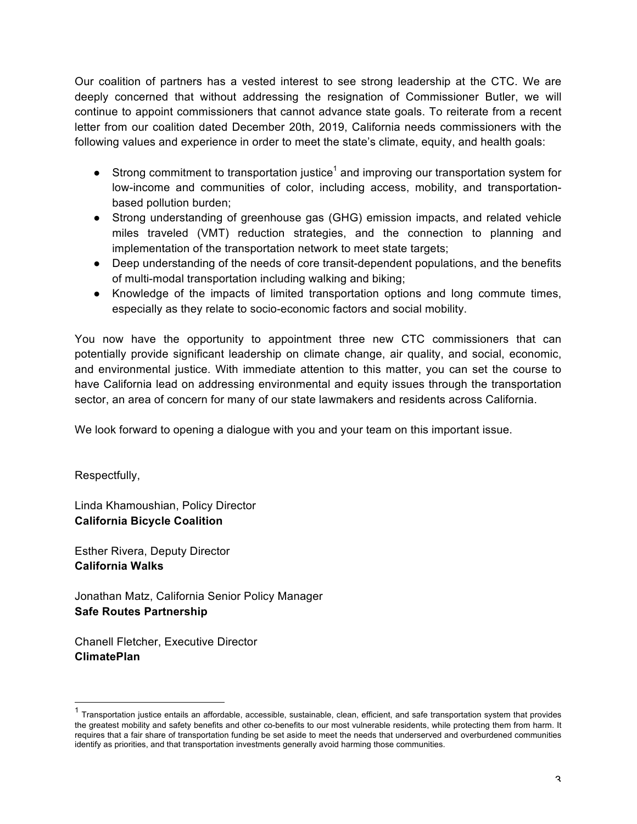Our coalition of partners has a vested interest to see strong leadership at the CTC. We are deeply concerned that without addressing the resignation of Commissioner Butler, we will continue to appoint commissioners that cannot advance state goals. To reiterate from a recent letter from our coalition dated December 20th, 2019, California needs commissioners with the following values and experience in order to meet the state's climate, equity, and health goals:

- **•** Strong commitment to transportation justice<sup>1</sup> and improving our transportation system for low-income and communities of color, including access, mobility, and transportationbased pollution burden;
- Strong understanding of greenhouse gas (GHG) emission impacts, and related vehicle miles traveled (VMT) reduction strategies, and the connection to planning and implementation of the transportation network to meet state targets;
- Deep understanding of the needs of core transit-dependent populations, and the benefits of multi-modal transportation including walking and biking;
- Knowledge of the impacts of limited transportation options and long commute times, especially as they relate to socio-economic factors and social mobility.

You now have the opportunity to appointment three new CTC commissioners that can potentially provide significant leadership on climate change, air quality, and social, economic, and environmental justice. With immediate attention to this matter, you can set the course to have California lead on addressing environmental and equity issues through the transportation sector, an area of concern for many of our state lawmakers and residents across California.

We look forward to opening a dialogue with you and your team on this important issue.

Respectfully,

Linda Khamoushian, Policy Director **California Bicycle Coalition**

Esther Rivera, Deputy Director **California Walks**

Jonathan Matz, California Senior Policy Manager **Safe Routes Partnership**

Chanell Fletcher, Executive Director **ClimatePlan**

 $1$  Transportation justice entails an affordable, accessible, sustainable, clean, efficient, and safe transportation system that provides the greatest mobility and safety benefits and other co-benefits to our most vulnerable residents, while protecting them from harm. It requires that a fair share of transportation funding be set aside to meet the needs that underserved and overburdened communities identify as priorities, and that transportation investments generally avoid harming those communities.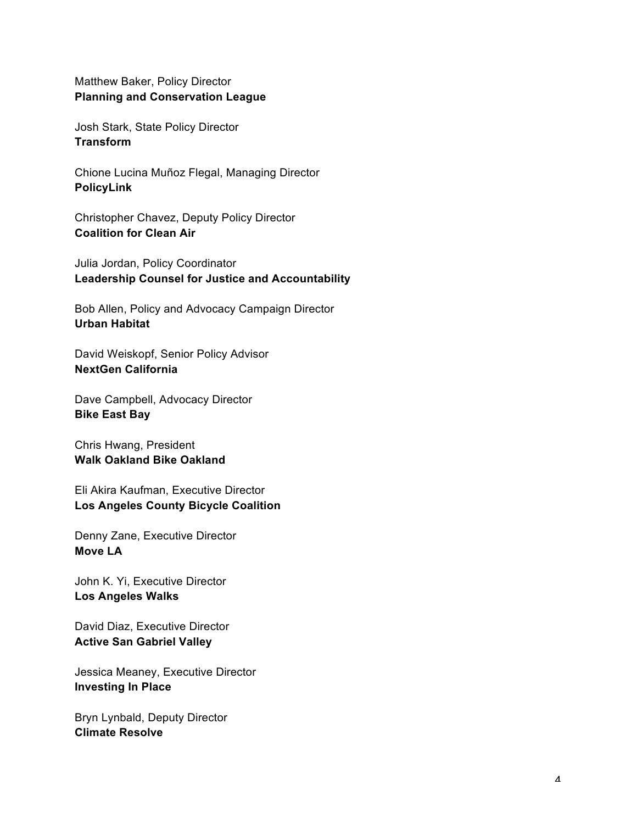Matthew Baker, Policy Director **Planning and Conservation League**

Josh Stark, State Policy Director **Transform**

Chione Lucina Muñoz Flegal, Managing Director **PolicyLink**

Christopher Chavez, Deputy Policy Director **Coalition for Clean Air** 

Julia Jordan, Policy Coordinator **Leadership Counsel for Justice and Accountability** 

Bob Allen, Policy and Advocacy Campaign Director **Urban Habitat**

David Weiskopf, Senior Policy Advisor **NextGen California** 

Dave Campbell, Advocacy Director **Bike East Bay**

Chris Hwang, President **Walk Oakland Bike Oakland** 

Eli Akira Kaufman, Executive Director **Los Angeles County Bicycle Coalition**

Denny Zane, Executive Director **Move LA**

John K. Yi, Executive Director **Los Angeles Walks** 

David Diaz, Executive Director **Active San Gabriel Valley**

Jessica Meaney, Executive Director **Investing In Place**

Bryn Lynbald, Deputy Director **Climate Resolve**